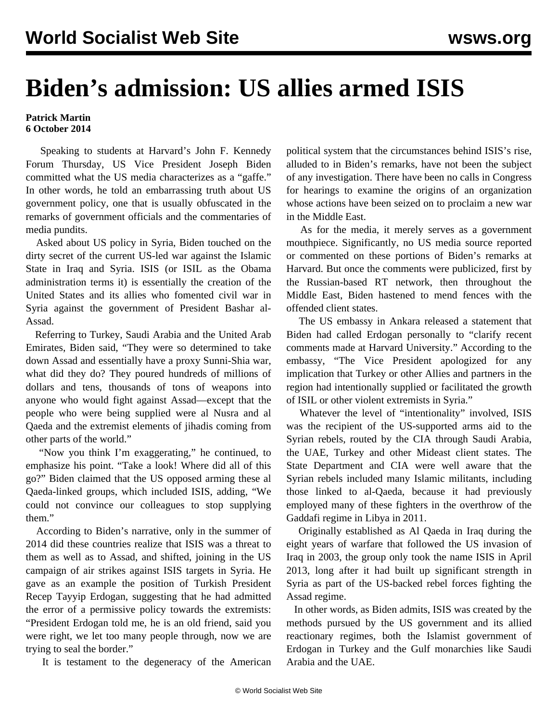## **Biden's admission: US allies armed ISIS**

## **Patrick Martin 6 October 2014**

 Speaking to students at Harvard's John F. Kennedy Forum Thursday, US Vice President Joseph Biden committed what the US media characterizes as a "gaffe." In other words, he told an embarrassing truth about US government policy, one that is usually obfuscated in the remarks of government officials and the commentaries of media pundits.

 Asked about US policy in Syria, Biden touched on the dirty secret of the current US-led war against the Islamic State in Iraq and Syria. ISIS (or ISIL as the Obama administration terms it) is essentially the creation of the United States and its allies who fomented civil war in Syria against the government of President Bashar al-Assad.

 Referring to Turkey, Saudi Arabia and the United Arab Emirates, Biden said, "They were so determined to take down Assad and essentially have a proxy Sunni-Shia war, what did they do? They poured hundreds of millions of dollars and tens, thousands of tons of weapons into anyone who would fight against Assad—except that the people who were being supplied were al Nusra and al Qaeda and the extremist elements of jihadis coming from other parts of the world."

 "Now you think I'm exaggerating," he continued, to emphasize his point. "Take a look! Where did all of this go?" Biden claimed that the US opposed arming these al Qaeda-linked groups, which included ISIS, adding, "We could not convince our colleagues to stop supplying them."

 According to Biden's narrative, only in the summer of 2014 did these countries realize that ISIS was a threat to them as well as to Assad, and shifted, joining in the US campaign of air strikes against ISIS targets in Syria. He gave as an example the position of Turkish President Recep Tayyip Erdogan, suggesting that he had admitted the error of a permissive policy towards the extremists: "President Erdogan told me, he is an old friend, said you were right, we let too many people through, now we are trying to seal the border."

It is testament to the degeneracy of the American

political system that the circumstances behind ISIS's rise, alluded to in Biden's remarks, have not been the subject of any investigation. There have been no calls in Congress for hearings to examine the origins of an organization whose actions have been seized on to proclaim a new war in the Middle East.

 As for the media, it merely serves as a government mouthpiece. Significantly, no US media source reported or commented on these portions of Biden's remarks at Harvard. But once the comments were publicized, first by the Russian-based RT network, then throughout the Middle East, Biden hastened to mend fences with the offended client states.

 The US embassy in Ankara released a statement that Biden had called Erdogan personally to "clarify recent comments made at Harvard University." According to the embassy, "The Vice President apologized for any implication that Turkey or other Allies and partners in the region had intentionally supplied or facilitated the growth of ISIL or other violent extremists in Syria."

 Whatever the level of "intentionality" involved, ISIS was the recipient of the US-supported arms aid to the Syrian rebels, routed by the CIA through Saudi Arabia, the UAE, Turkey and other Mideast client states. The State Department and CIA were well aware that the Syrian rebels included many Islamic militants, including those linked to al-Qaeda, because it had previously employed many of these fighters in the overthrow of the Gaddafi regime in Libya in 2011.

 Originally established as Al Qaeda in Iraq during the eight years of warfare that followed the US invasion of Iraq in 2003, the group only took the name ISIS in April 2013, long after it had built up significant strength in Syria as part of the US-backed rebel forces fighting the Assad regime.

 In other words, as Biden admits, ISIS was created by the methods pursued by the US government and its allied reactionary regimes, both the Islamist government of Erdogan in Turkey and the Gulf monarchies like Saudi Arabia and the UAE.